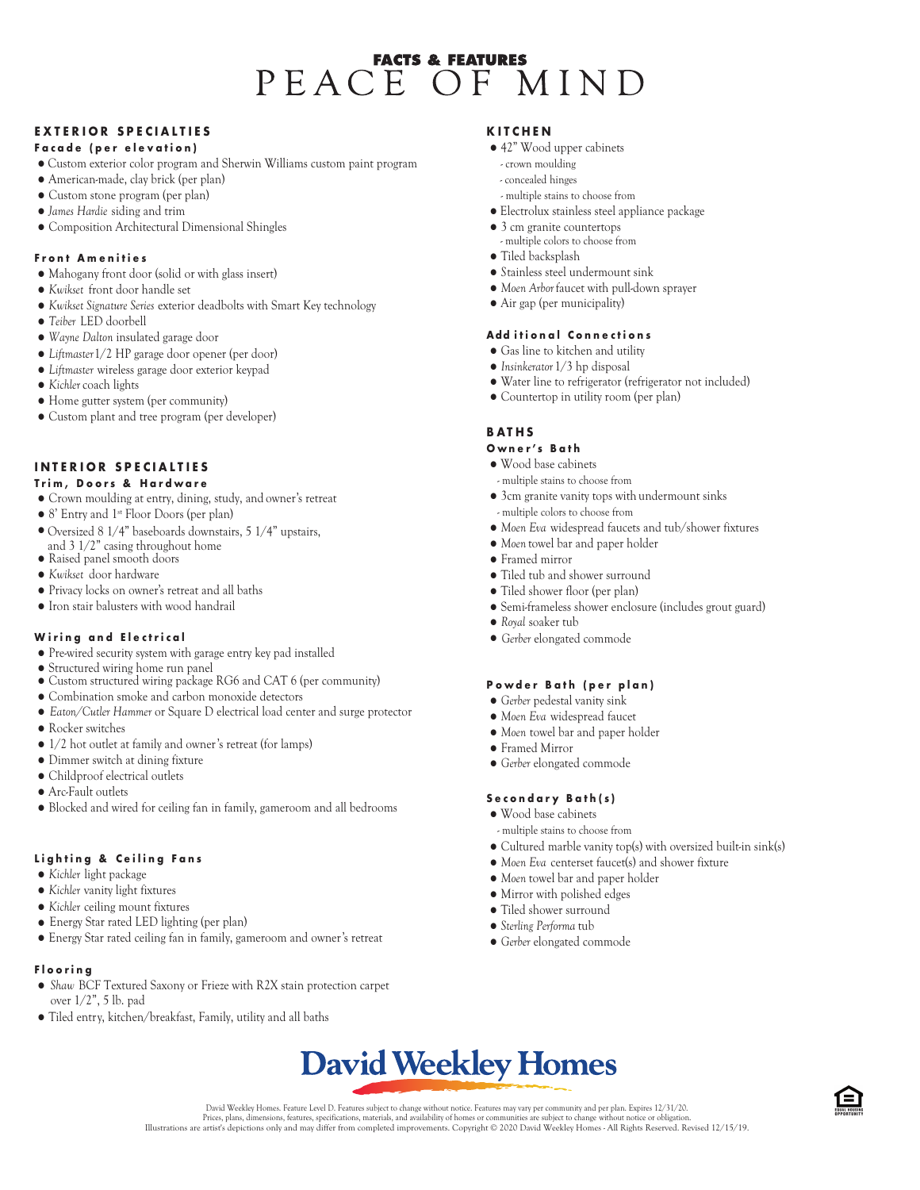# **FACTS & FEATURES** PEACE OF MIND

# **EXTERIOR SPECIALTIES**

#### **F a c a d e ( p e r e l e v a t i o n )**

- Custom exterior color program and Sherwin Williams custom paint program
- American-made, clay brick (per plan)
- Custom stone program (per plan)
- *James Hardie* siding and trim
- Composition Architectural Dimensional Shingles

#### **F r o n t A m e n i t i e s**

- Mahogany front door (solid or with glass insert)
- *Kwikset* front door handle set
- *Kwikset Signature Series* exterior deadbolts with Smart Key technology
- *Teiber* LED doorbell
- *Wayne Dalton* insulated garage door
- *Liftmaster* 1/2HP garage door opener (per door)
- *Liftmaster* wireless garage door exterior keypad
- *Kichler* coach lights
- Home gutter system (per community)
- Custom plant and tree program (per developer)

# **I N T E R I O R S P E C I A L T I E S**

#### **T r i m , D o o r s & H a r d w a r e**

- Crown moulding at entry, dining, study, and owner's retreat
- 8' Entry and 1st Floor Doors (per plan)
- Oversized 8 1/4" baseboards downstairs, 5 1/4" upstairs,
- Raised panel smooth doors and 3 1/2" casing throughout home
- *Kwikset* door hardware
- Privacy locks on owner's retreat and all baths
- Iron stair balusters with wood handrail

#### **Wiring and Electrical**

- Pre-wired security system with garage entry key pad installed
- Structured wiring home run panel
- Custom structured wiring package RG6 and CAT 6 (per community)
- Combination smoke and carbon monoxide detectors
- *Eaton/Cutler Hammer* or Square D electrical load center and surge protector
- Rocker switches
- 1/2 hot outlet at family and owner's retreat (for lamps)
- Dimmer switch at dining fixture
- Childproof electrical outlets
- Arc-Fault outlets
- Blocked and wired for ceiling fan in family, gameroom and all bedrooms

# Lighting & Ceiling Fans

- *Kichler* light package
- *Kichler* vanity light fixtures
- *Kichler* ceiling mount fixtures
- Energy Star rated LED lighting (per plan)
- Energy Star rated ceiling fan in family, gameroom and owner's retreat

# **F l o o r i n g**

- *Shaw* BCF Textured Saxony or Frieze with R2X stain protection carpet over 1/2", 5 lb. pad
- Tiled entry, kitchen/breakfast, Family, utility and all baths

#### **K I T C H E N**

- 42" Wood upper cabinets
- crown moulding
- concealed hinges
- multiple stains to choose from
- Electrolux stainless steel appliance package
- 3 cm granite countertops - multiple colors to choose from
- $\bullet$  Tiled backsplash
- $\bullet$  Stainless steel undermount sink
- *Moen Arbor* faucet with pull-down sprayer
- Air gap (per municipality)

#### **Add itional Connections**

- Gas line to kitchen and utility
- *Insinkerator* 1/3 hp disposal
- Water line to refrigerator (refrigerator not included)
- Countertop in utility room (per plan)

#### **B A T H S**

#### **O w n e r ' s B a t h**

- Wood base cabinets
- multiple stains to choose from
- 3cm granite vanity tops with undermount sinks
- multiple colors to choose from
- *Moen Eva* widespread faucets and tub/shower fixtures
- *Moen* towel bar and paper holder
- Framed mirror
- Tiled tub and shower surround
- Tiled shower floor (per plan)
- Semi-frameless shower enclosure (includes grout guard)
- *Royal* soaker tub
- *Gerber* elongated commode

#### Powder Bath (per plan)

- *Gerber* pedestal vanity sink
- *Moen Eva* widespread faucet
- *Moen* towel bar and paper holder
- Framed Mirror
- *Gerber* elongated commode

#### **S e c o n d a r y B a t h ( s )**

- Wood base cabinets
- multiple stains to choose from
- Cultured marble vanity top(s) with oversized built-in sink(s)
- *Moen Eva* centerset faucet(s) and shower fixture
- *Moen* towel bar and paper holder
- $\bullet$  Mirror with polished edges
- Tiled shower surround
- *Sterling Performa* tub
- *Gerber* elongated commode

# **David Weekley Homes**

David Weekley Homes. Feature Level D. Features subject to change without notice. Features may vary per community and per plan. Expires 12/31/20.<br>Prices, plans, dimensions, features, precifications, features, pare interial